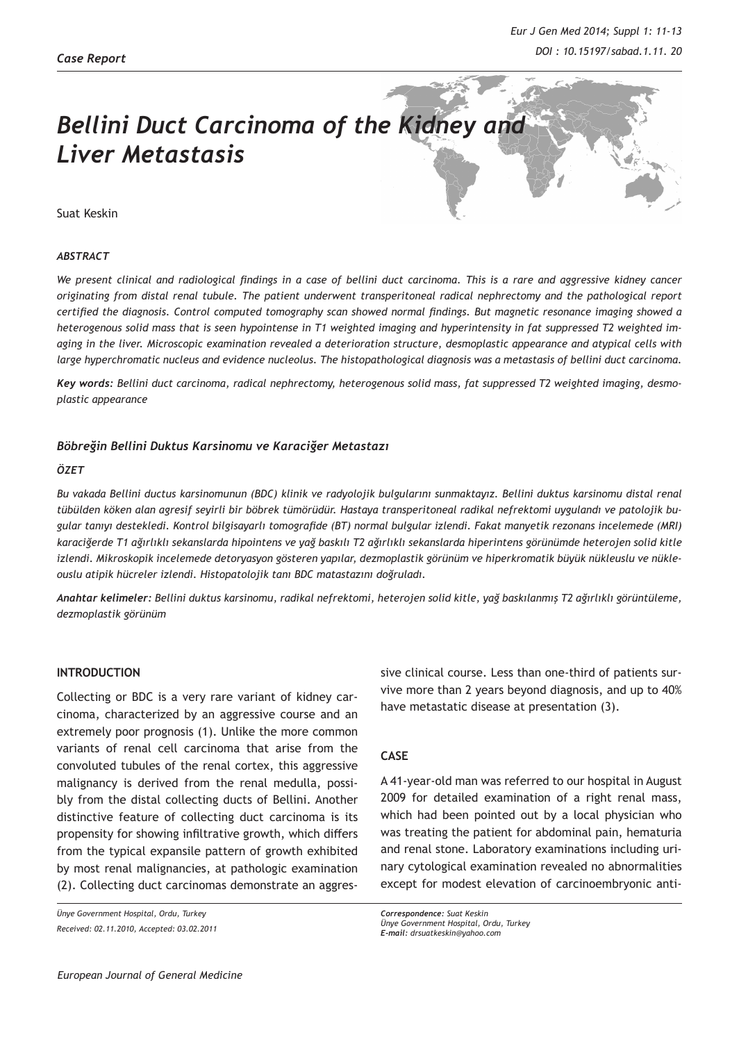# *Bellini Duct Carcinoma of the Kidney and Liver Metastasis*

Suat Keskin

#### *ABSTRACT*

*We present clinical and radiological findings in a case of bellini duct carcinoma. This is a rare and aggressive kidney cancer originating from distal renal tubule. The patient underwent transperitoneal radical nephrectomy and the pathological report certified the diagnosis. Control computed tomography scan showed normal findings. But magnetic resonance imaging showed a heterogenous solid mass that is seen hypointense in T1 weighted imaging and hyperintensity in fat suppressed T2 weighted imaging in the liver. Microscopic examination revealed a deterioration structure, desmoplastic appearance and atypical cells with large hyperchromatic nucleus and evidence nucleolus. The histopathological diagnosis was a metastasis of bellini duct carcinoma.* 

*Key words: Bellini duct carcinoma, radical nephrectomy, heterogenous solid mass, fat suppressed T2 weighted imaging, desmoplastic appearance*

# *Böbreğin Bellini Duktus Karsinomu ve Karaciğer Metastazı*

#### *ÖZET*

*Bu vakada Bellini ductus karsinomunun (BDC) klinik ve radyolojik bulgularını sunmaktayız. Bellini duktus karsinomu distal renal tübülden köken alan agresif seyirli bir böbrek tümörüdür. Hastaya transperitoneal radikal nefrektomi uygulandı ve patolojik bugular tanıyı destekledi. Kontrol bilgisayarlı tomografide (BT) normal bulgular izlendi. Fakat manyetik rezonans incelemede (MRI) karaciğerde T1 ağırlıklı sekanslarda hipointens ve yağ baskılı T2 ağırlıklı sekanslarda hiperintens görünümde heterojen solid kitle izlendi. Mikroskopik incelemede detoryasyon gösteren yapılar, dezmoplastik görünüm ve hiperkromatik büyük nükleuslu ve nükleouslu atipik hücreler izlendi. Histopatolojik tanı BDC matastazını doğruladı.*

*Anahtar kelimeler: Bellini duktus karsinomu, radikal nefrektomi, heterojen solid kitle, yağ baskılanmış T2 ağırlıklı görüntüleme, dezmoplastik görünüm*

### **INTRODUCTION**

Collecting or BDC is a very rare variant of kidney carcinoma, characterized by an aggressive course and an extremely poor prognosis (1). Unlike the more common variants of renal cell carcinoma that arise from the convoluted tubules of the renal cortex, this aggressive malignancy is derived from the renal medulla, possibly from the distal collecting ducts of Bellini. Another distinctive feature of collecting duct carcinoma is its propensity for showing infiltrative growth, which differs from the typical expansile pattern of growth exhibited by most renal malignancies, at pathologic examination (2). Collecting duct carcinomas demonstrate an aggres-

*Ünye Government Hospital, Ordu, Turkey Received: 02.11.2010, Accepted: 03.02.2011* sive clinical course. Less than one-third of patients survive more than 2 years beyond diagnosis, and up to 40% have metastatic disease at presentation (3).

# **CASE**

A 41-year-old man was referred to our hospital in August 2009 for detailed examination of a right renal mass, which had been pointed out by a local physician who was treating the patient for abdominal pain, hematuria and renal stone. Laboratory examinations including urinary cytological examination revealed no abnormalities except for modest elevation of carcinoembryonic anti-

*Correspondence: Suat Keskin Ünye Government Hospital, Ordu, Turkey E-mail: drsuatkeskin@yahoo.com*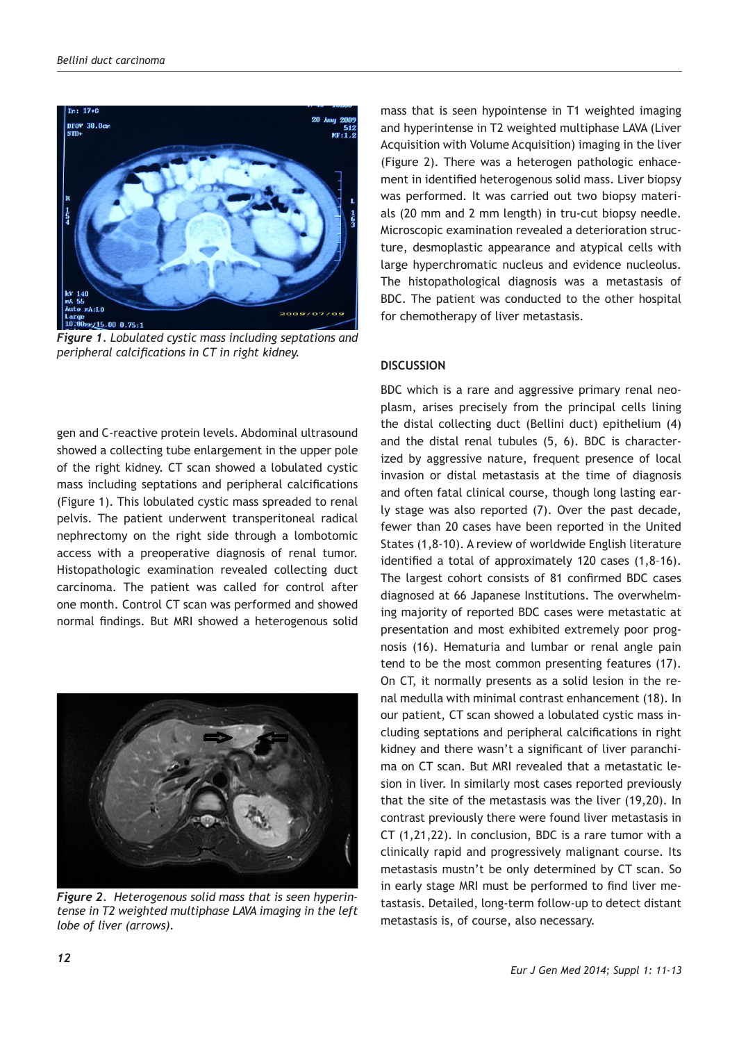

*Figure 1. Lobulated cystic mass including septations and peripheral calcifications in CT in right kidney.*

gen and C-reactive protein levels. Abdominal ultrasound showed a collecting tube enlargement in the upper pole of the right kidney. CT scan showed a lobulated cystic mass including septations and peripheral calcifications (Figure 1). This lobulated cystic mass spreaded to renal pelvis. The patient underwent transperitoneal radical nephrectomy on the right side through a lombotomic access with a preoperative diagnosis of renal tumor. Histopathologic examination revealed collecting duct carcinoma. The patient was called for control after one month. Control CT scan was performed and showed normal findings. But MRI showed a heterogenous solid



*Figure 2. Heterogenous solid mass that is seen hyperintense in T2 weighted multiphase LAVA imaging in the left lobe of liver (arrows).*

mass that is seen hypointense in T1 weighted imaging and hyperintense in T2 weighted multiphase LAVA (Liver Acquisition with Volume Acquisition) imaging in the liver (Figure 2). There was a heterogen pathologic enhacement in identified heterogenous solid mass. Liver biopsy was performed. It was carried out two biopsy materials (20 mm and 2 mm length) in tru-cut biopsy needle. Microscopic examination revealed a deterioration structure, desmoplastic appearance and atypical cells with large hyperchromatic nucleus and evidence nucleolus. The histopathological diagnosis was a metastasis of BDC. The patient was conducted to the other hospital for chemotherapy of liver metastasis.

# **DISCUSSION**

BDC which is a rare and aggressive primary renal neoplasm, arises precisely from the principal cells lining the distal collecting duct (Bellini duct) epithelium (4) and the distal renal tubules (5, 6). BDC is characterized by aggressive nature, frequent presence of local invasion or distal metastasis at the time of diagnosis and often fatal clinical course, though long lasting early stage was also reported (7). Over the past decade, fewer than 20 cases have been reported in the United States (1,8-10). A review of worldwide English literature identified a total of approximately 120 cases (1,8–16). The largest cohort consists of 81 confirmed BDC cases diagnosed at 66 Japanese Institutions. The overwhelming majority of reported BDC cases were metastatic at presentation and most exhibited extremely poor prognosis (16). Hematuria and lumbar or renal angle pain tend to be the most common presenting features (17). On CT, it normally presents as a solid lesion in the renal medulla with minimal contrast enhancement (18). In our patient, CT scan showed a lobulated cystic mass including septations and peripheral calcifications in right kidney and there wasn't a significant of liver paranchima on CT scan. But MRI revealed that a metastatic lesion in liver. In similarly most cases reported previously that the site of the metastasis was the liver (19,20). In contrast previously there were found liver metastasis in CT (1,21,22). In conclusion, BDC is a rare tumor with a clinically rapid and progressively malignant course. Its metastasis mustn't be only determined by CT scan. So in early stage MRI must be performed to find liver metastasis. Detailed, long-term follow-up to detect distant metastasis is, of course, also necessary.